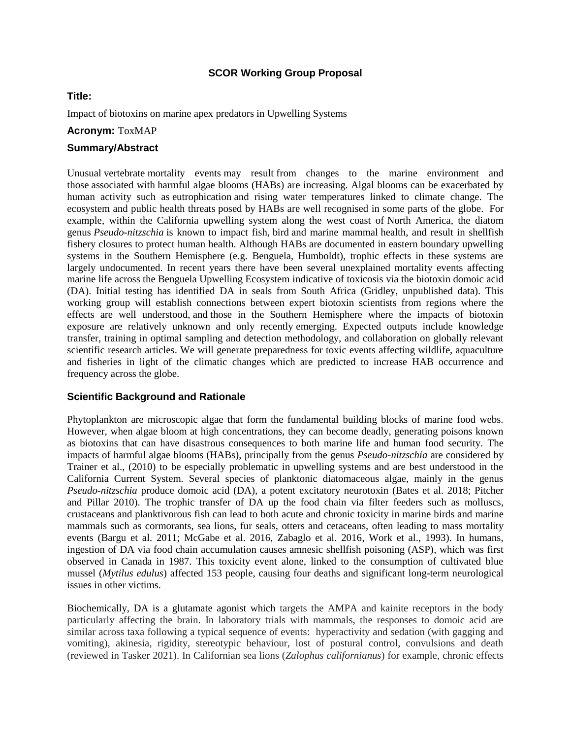## **SCOR Working Group Proposal**

### **Title:**

Impact of biotoxins on marine apex predators in Upwelling Systems

### **Acronym:** ToxMAP

## **Summary/Abstract**

Unusual vertebrate mortality events may result from changes to the marine environment and those associated with harmful algae blooms (HABs) are increasing. Algal blooms can be exacerbated by human activity such as eutrophication and rising water temperatures linked to climate change. The ecosystem and public health threats posed by HABs are well recognised in some parts of the globe. For example, within the California upwelling system along the west coast of North America, the diatom genus *Pseudo-nitzschia* is known to impact fish, bird and marine mammal health, and result in shellfish fishery closures to protect human health. Although HABs are documented in eastern boundary upwelling systems in the Southern Hemisphere (e.g. Benguela, Humboldt), trophic effects in these systems are largely undocumented. In recent years there have been several unexplained mortality events affecting marine life across the Benguela Upwelling Ecosystem indicative of toxicosis via the biotoxin domoic acid (DA). Initial testing has identified DA in seals from South Africa (Gridley, unpublished data). This working group will establish connections between expert biotoxin scientists from regions where the effects are well understood, and those in the Southern Hemisphere where the impacts of biotoxin exposure are relatively unknown and only recently emerging. Expected outputs include knowledge transfer, training in optimal sampling and detection methodology, and collaboration on globally relevant scientific research articles. We will generate preparedness for toxic events affecting wildlife, aquaculture and fisheries in light of the climatic changes which are predicted to increase HAB occurrence and frequency across the globe.

### **Scientific Background and Rationale**

Phytoplankton are microscopic algae that form the fundamental building blocks of marine food webs. However, when algae bloom at high concentrations, they can become deadly, generating poisons known as biotoxins that can have disastrous consequences to both marine life and human food security. The impacts of harmful algae blooms (HABs), principally from the genus *Pseudo-nitzschia* are considered by Trainer et al., (2010) to be especially problematic in upwelling systems and are best understood in the California Current System. Several species of planktonic diatomaceous algae, mainly in the genus *Pseudo-nitzschia* produce domoic acid (DA), a potent excitatory neurotoxin (Bates et al. 2018; Pitcher and Pillar 2010). The trophic transfer of DA up the food chain via filter feeders such as molluscs, crustaceans and planktivorous fish can lead to both acute and chronic toxicity in marine birds and marine mammals such as cormorants, sea lions, fur seals, otters and cetaceans, often leading to mass mortality events (Bargu et al. 2011; McGabe et al. 2016, Zabaglo et al. 2016, Work et al., 1993). In humans, ingestion of DA via food chain accumulation causes amnesic shellfish poisoning (ASP), which was first observed in Canada in 1987. This toxicity event alone, linked to the consumption of cultivated blue mussel (*Mytilus edulus*) affected 153 people, causing four deaths and significant long-term neurological issues in other victims.

Biochemically, DA is a glutamate agonist which targets the AMPA and kainite receptors in the body particularly affecting the brain. In laboratory trials with mammals, the responses to domoic acid are similar across taxa following a typical sequence of events: hyperactivity and sedation (with gagging and vomiting), akinesia, rigidity, stereotypic behaviour, lost of postural control, convulsions and death (reviewed in Tasker 2021). In Californian sea lions (*Zalophus californianus*) for example, chronic effects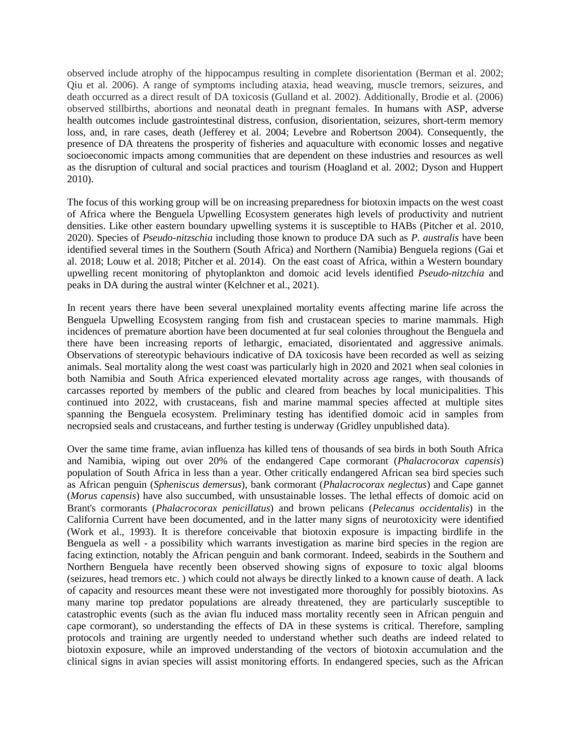observed include atrophy of the hippocampus resulting in complete disorientation (Berman et al. 2002; Qiu et al. 2006). A range of symptoms including ataxia, head weaving, muscle tremors, seizures, and death occurred as a direct result of DA toxicosis (Gulland et al. 2002). Additionally, Brodie et al. (2006) observed stillbirths, abortions and neonatal death in pregnant females. In humans with ASP, adverse health outcomes include gastrointestinal distress, confusion, disorientation, seizures, short-term memory loss, and, in rare cases, death (Jefferey et al. 2004; Levebre and Robertson 2004). Consequently, the presence of DA threatens the prosperity of fisheries and aquaculture with economic losses and negative socioeconomic impacts among communities that are dependent on these industries and resources as well as the disruption of cultural and social practices and tourism (Hoagland et al. 2002; Dyson and Huppert 2010).

The focus of this working group will be on increasing preparedness for biotoxin impacts on the west coast of Africa where the Benguela Upwelling Ecosystem generates high levels of productivity and nutrient densities. Like other eastern boundary upwelling systems it is susceptible to HABs (Pitcher et al. 2010, 2020). Species of *Pseudo-nitzschia* including those known to produce DA such as *P. australis* have been identified several times in the Southern (South Africa) and Northern (Namibia) Benguela regions (Gai et al. 2018; Louw et al. 2018; Pitcher et al. 2014). On the east coast of Africa, within a Western boundary upwelling recent monitoring of phytoplankton and domoic acid levels identified *Pseudo-nitzchia* and peaks in DA during the austral winter (Kelchner et al., 2021).

In recent years there have been several unexplained mortality events affecting marine life across the Benguela Upwelling Ecosystem ranging from fish and crustacean species to marine mammals. High incidences of premature abortion have been documented at fur seal colonies throughout the Benguela and there have been increasing reports of lethargic, emaciated, disorientated and aggressive animals. Observations of stereotypic behaviours indicative of DA toxicosis have been recorded as well as seizing animals. Seal mortality along the west coast was particularly high in 2020 and 2021 when seal colonies in both Namibia and South Africa experienced elevated mortality across age ranges, with thousands of carcasses reported by members of the public and cleared from beaches by local municipalities. This continued into 2022, with crustaceans, fish and marine mammal species affected at multiple sites spanning the Benguela ecosystem. Preliminary testing has identified domoic acid in samples from necropsied seals and crustaceans, and further testing is underway (Gridley unpublished data).

Over the same time frame, avian influenza has killed tens of thousands of sea birds in both South Africa and Namibia, wiping out over 20% of the endangered Cape cormorant (*Phalacrocorax capensis*) population of South Africa in less than a year. Other critically endangered African sea bird species such as African penguin (*Spheniscus demersus*), bank cormorant (*Phalacrocorax neglectus*) and Cape gannet (*Morus capensis*) have also succumbed, with unsustainable losses. The lethal effects of domoic acid on Brant's cormorants (*Phalacrocorax penicillatus*) and brown pelicans (*Pelecanus occidentalis*) in the California Current have been documented, and in the latter many signs of neurotoxicity were identified (Work et al., 1993). It is therefore conceivable that biotoxin exposure is impacting birdlife in the Benguela as well - a possibility which warrants investigation as marine bird species in the region are facing extinction, notably the African penguin and bank cormorant. Indeed, seabirds in the Southern and Northern Benguela have recently been observed showing signs of exposure to toxic algal blooms (seizures, head tremors etc. ) which could not always be directly linked to a known cause of death. A lack of capacity and resources meant these were not investigated more thoroughly for possibly biotoxins. As many marine top predator populations are already threatened, they are particularly susceptible to catastrophic events (such as the avian flu induced mass mortality recently seen in African penguin and cape cormorant), so understanding the effects of DA in these systems is critical. Therefore, sampling protocols and training are urgently needed to understand whether such deaths are indeed related to biotoxin exposure, while an improved understanding of the vectors of biotoxin accumulation and the clinical signs in avian species will assist monitoring efforts. In endangered species, such as the African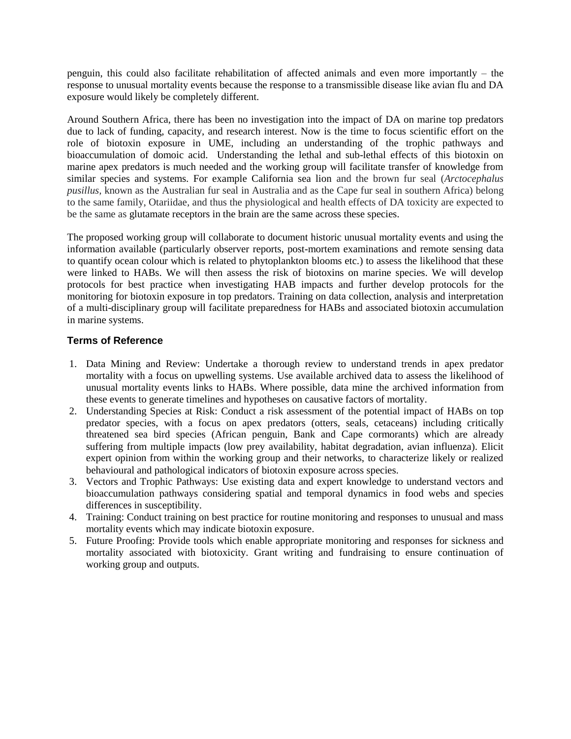penguin, this could also facilitate rehabilitation of affected animals and even more importantly – the response to unusual mortality events because the response to a transmissible disease like avian flu and DA exposure would likely be completely different.

Around Southern Africa, there has been no investigation into the impact of DA on marine top predators due to lack of funding, capacity, and research interest. Now is the time to focus scientific effort on the role of biotoxin exposure in UME, including an understanding of the trophic pathways and bioaccumulation of domoic acid. Understanding the lethal and sub-lethal effects of this biotoxin on marine apex predators is much needed and the working group will facilitate transfer of knowledge from similar species and systems. For example California sea lion and the brown fur seal (*Arctocephalus pusillus,* known as the Australian fur seal in Australia and as the Cape fur seal in southern Africa) belong to the same family, Otariidae, and thus the physiological and health effects of DA toxicity are expected to be the same as glutamate receptors in the brain are the same across these species.

The proposed working group will collaborate to document historic unusual mortality events and using the information available (particularly observer reports, post-mortem examinations and remote sensing data to quantify ocean colour which is related to phytoplankton blooms etc.) to assess the likelihood that these were linked to HABs. We will then assess the risk of biotoxins on marine species. We will develop protocols for best practice when investigating HAB impacts and further develop protocols for the monitoring for biotoxin exposure in top predators. Training on data collection, analysis and interpretation of a multi-disciplinary group will facilitate preparedness for HABs and associated biotoxin accumulation in marine systems.

# **Terms of Reference**

- 1. Data Mining and Review: Undertake a thorough review to understand trends in apex predator mortality with a focus on upwelling systems. Use available archived data to assess the likelihood of unusual mortality events links to HABs. Where possible, data mine the archived information from these events to generate timelines and hypotheses on causative factors of mortality.
- 2. Understanding Species at Risk: Conduct a risk assessment of the potential impact of HABs on top predator species, with a focus on apex predators (otters, seals, cetaceans) including critically threatened sea bird species (African penguin, Bank and Cape cormorants) which are already suffering from multiple impacts (low prey availability, habitat degradation, avian influenza). Elicit expert opinion from within the working group and their networks, to characterize likely or realized behavioural and pathological indicators of biotoxin exposure across species.
- 3. Vectors and Trophic Pathways: Use existing data and expert knowledge to understand vectors and bioaccumulation pathways considering spatial and temporal dynamics in food webs and species differences in susceptibility.
- 4. Training: Conduct training on best practice for routine monitoring and responses to unusual and mass mortality events which may indicate biotoxin exposure.
- 5. Future Proofing: Provide tools which enable appropriate monitoring and responses for sickness and mortality associated with biotoxicity. Grant writing and fundraising to ensure continuation of working group and outputs.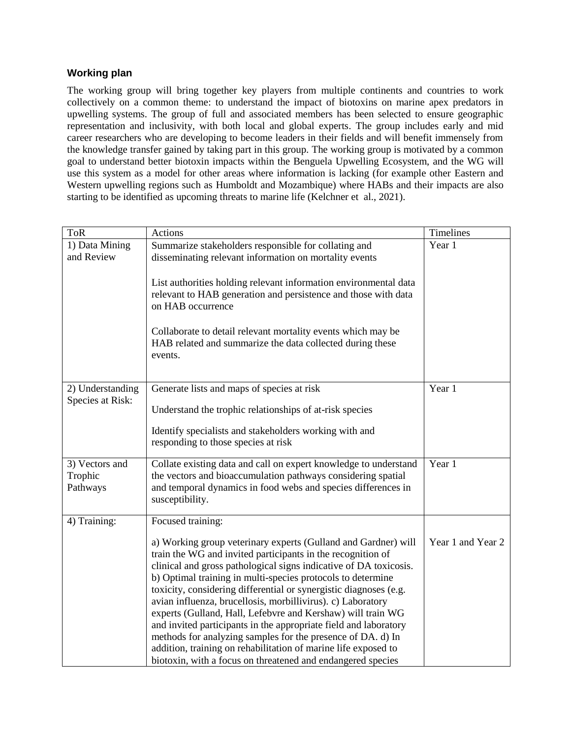# **Working plan**

The working group will bring together key players from multiple continents and countries to work collectively on a common theme: to understand the impact of biotoxins on marine apex predators in upwelling systems. The group of full and associated members has been selected to ensure geographic representation and inclusivity, with both local and global experts. The group includes early and mid career researchers who are developing to become leaders in their fields and will benefit immensely from the knowledge transfer gained by taking part in this group. The working group is motivated by a common goal to understand better biotoxin impacts within the Benguela Upwelling Ecosystem, and the WG will use this system as a model for other areas where information is lacking (for example other Eastern and Western upwelling regions such as Humboldt and Mozambique) where HABs and their impacts are also starting to be identified as upcoming threats to marine life (Kelchner et al., 2021).

| <b>ToR</b>                            | Actions                                                                                                                                                                                                                                                                                                                                                                                                                                                                                                                                                                                                                                                                                                                                  | Timelines         |
|---------------------------------------|------------------------------------------------------------------------------------------------------------------------------------------------------------------------------------------------------------------------------------------------------------------------------------------------------------------------------------------------------------------------------------------------------------------------------------------------------------------------------------------------------------------------------------------------------------------------------------------------------------------------------------------------------------------------------------------------------------------------------------------|-------------------|
| 1) Data Mining<br>and Review          | Summarize stakeholders responsible for collating and<br>disseminating relevant information on mortality events                                                                                                                                                                                                                                                                                                                                                                                                                                                                                                                                                                                                                           | Year 1            |
|                                       | List authorities holding relevant information environmental data<br>relevant to HAB generation and persistence and those with data<br>on HAB occurrence                                                                                                                                                                                                                                                                                                                                                                                                                                                                                                                                                                                  |                   |
|                                       | Collaborate to detail relevant mortality events which may be<br>HAB related and summarize the data collected during these<br>events.                                                                                                                                                                                                                                                                                                                                                                                                                                                                                                                                                                                                     |                   |
| 2) Understanding<br>Species at Risk:  | Generate lists and maps of species at risk<br>Understand the trophic relationships of at-risk species                                                                                                                                                                                                                                                                                                                                                                                                                                                                                                                                                                                                                                    | Year 1            |
|                                       | Identify specialists and stakeholders working with and<br>responding to those species at risk                                                                                                                                                                                                                                                                                                                                                                                                                                                                                                                                                                                                                                            |                   |
| 3) Vectors and<br>Trophic<br>Pathways | Collate existing data and call on expert knowledge to understand<br>the vectors and bioaccumulation pathways considering spatial<br>and temporal dynamics in food webs and species differences in<br>susceptibility.                                                                                                                                                                                                                                                                                                                                                                                                                                                                                                                     | Year 1            |
| 4) Training:                          | Focused training:                                                                                                                                                                                                                                                                                                                                                                                                                                                                                                                                                                                                                                                                                                                        |                   |
|                                       | a) Working group veterinary experts (Gulland and Gardner) will<br>train the WG and invited participants in the recognition of<br>clinical and gross pathological signs indicative of DA toxicosis.<br>b) Optimal training in multi-species protocols to determine<br>toxicity, considering differential or synergistic diagnoses (e.g.<br>avian influenza, brucellosis, morbillivirus). c) Laboratory<br>experts (Gulland, Hall, Lefebvre and Kershaw) will train WG<br>and invited participants in the appropriate field and laboratory<br>methods for analyzing samples for the presence of DA. d) In<br>addition, training on rehabilitation of marine life exposed to<br>biotoxin, with a focus on threatened and endangered species | Year 1 and Year 2 |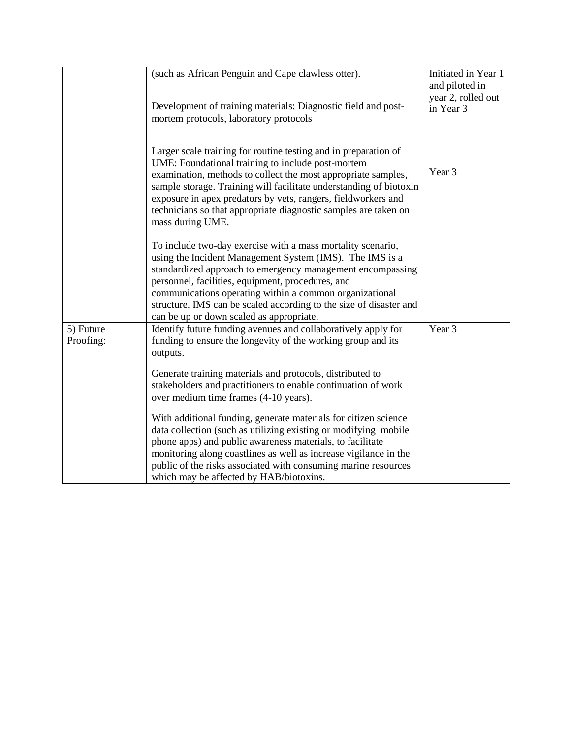|                        | (such as African Penguin and Cape clawless otter).<br>Development of training materials: Diagnostic field and post-<br>mortem protocols, laboratory protocols                                                                                                                                                                                                                                                           | Initiated in Year 1<br>and piloted in<br>year 2, rolled out<br>in Year 3 |
|------------------------|-------------------------------------------------------------------------------------------------------------------------------------------------------------------------------------------------------------------------------------------------------------------------------------------------------------------------------------------------------------------------------------------------------------------------|--------------------------------------------------------------------------|
|                        | Larger scale training for routine testing and in preparation of<br>UME: Foundational training to include post-mortem<br>examination, methods to collect the most appropriate samples,<br>sample storage. Training will facilitate understanding of biotoxin<br>exposure in apex predators by vets, rangers, fieldworkers and<br>technicians so that appropriate diagnostic samples are taken on<br>mass during UME.     | Year 3                                                                   |
|                        | To include two-day exercise with a mass mortality scenario,<br>using the Incident Management System (IMS). The IMS is a<br>standardized approach to emergency management encompassing<br>personnel, facilities, equipment, procedures, and<br>communications operating within a common organizational<br>structure. IMS can be scaled according to the size of disaster and<br>can be up or down scaled as appropriate. |                                                                          |
| 5) Future<br>Proofing: | Identify future funding avenues and collaboratively apply for<br>funding to ensure the longevity of the working group and its<br>outputs.                                                                                                                                                                                                                                                                               | Year 3                                                                   |
|                        | Generate training materials and protocols, distributed to<br>stakeholders and practitioners to enable continuation of work<br>over medium time frames (4-10 years).                                                                                                                                                                                                                                                     |                                                                          |
|                        | With additional funding, generate materials for citizen science<br>data collection (such as utilizing existing or modifying mobile<br>phone apps) and public awareness materials, to facilitate<br>monitoring along coastlines as well as increase vigilance in the<br>public of the risks associated with consuming marine resources<br>which may be affected by HAB/biotoxins.                                        |                                                                          |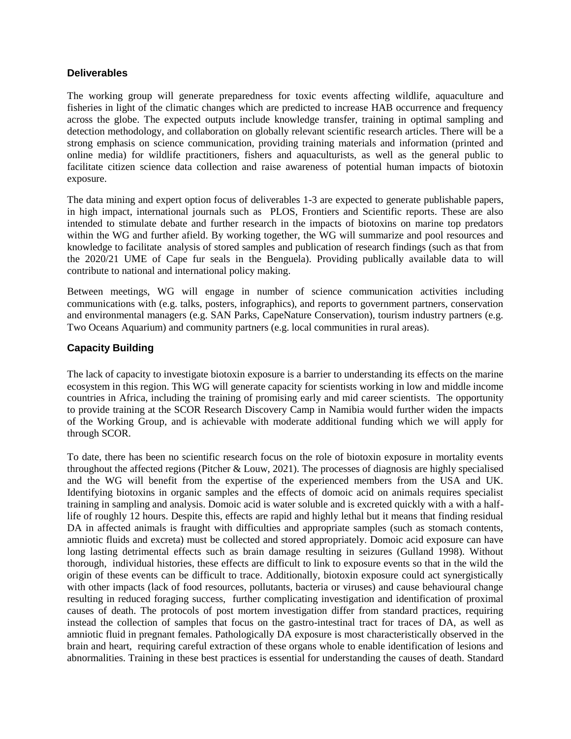## **Deliverables**

The working group will generate preparedness for toxic events affecting wildlife, aquaculture and fisheries in light of the climatic changes which are predicted to increase HAB occurrence and frequency across the globe. The expected outputs include knowledge transfer, training in optimal sampling and detection methodology, and collaboration on globally relevant scientific research articles. There will be a strong emphasis on science communication, providing training materials and information (printed and online media) for wildlife practitioners, fishers and aquaculturists, as well as the general public to facilitate citizen science data collection and raise awareness of potential human impacts of biotoxin exposure.

The data mining and expert option focus of deliverables 1-3 are expected to generate publishable papers, in high impact, international journals such as PLOS, Frontiers and Scientific reports. These are also intended to stimulate debate and further research in the impacts of biotoxins on marine top predators within the WG and further afield. By working together, the WG will summarize and pool resources and knowledge to facilitate analysis of stored samples and publication of research findings (such as that from the 2020/21 UME of Cape fur seals in the Benguela). Providing publically available data to will contribute to national and international policy making.

Between meetings, WG will engage in number of science communication activities including communications with (e.g. talks, posters, infographics), and reports to government partners, conservation and environmental managers (e.g. SAN Parks, CapeNature Conservation), tourism industry partners (e.g. Two Oceans Aquarium) and community partners (e.g. local communities in rural areas).

# **Capacity Building**

The lack of capacity to investigate biotoxin exposure is a barrier to understanding its effects on the marine ecosystem in this region. This WG will generate capacity for scientists working in low and middle income countries in Africa, including the training of promising early and mid career scientists. The opportunity to provide training at the SCOR Research Discovery Camp in Namibia would further widen the impacts of the Working Group, and is achievable with moderate additional funding which we will apply for through SCOR.

To date, there has been no scientific research focus on the role of biotoxin exposure in mortality events throughout the affected regions (Pitcher & Louw, 2021). The processes of diagnosis are highly specialised and the WG will benefit from the expertise of the experienced members from the USA and UK. Identifying biotoxins in organic samples and the effects of domoic acid on animals requires specialist training in sampling and analysis. Domoic acid is water soluble and is excreted quickly with a with a halflife of roughly 12 hours. Despite this, effects are rapid and highly lethal but it means that finding residual DA in affected animals is fraught with difficulties and appropriate samples (such as stomach contents, amniotic fluids and excreta) must be collected and stored appropriately. Domoic acid exposure can have long lasting detrimental effects such as brain damage resulting in seizures (Gulland 1998). Without thorough, individual histories, these effects are difficult to link to exposure events so that in the wild the origin of these events can be difficult to trace. Additionally, biotoxin exposure could act synergistically with other impacts (lack of food resources, pollutants, bacteria or viruses) and cause behavioural change resulting in reduced foraging success, further complicating investigation and identification of proximal causes of death. The protocols of post mortem investigation differ from standard practices, requiring instead the collection of samples that focus on the gastro-intestinal tract for traces of DA, as well as amniotic fluid in pregnant females. Pathologically DA exposure is most characteristically observed in the brain and heart, requiring careful extraction of these organs whole to enable identification of lesions and abnormalities. Training in these best practices is essential for understanding the causes of death. Standard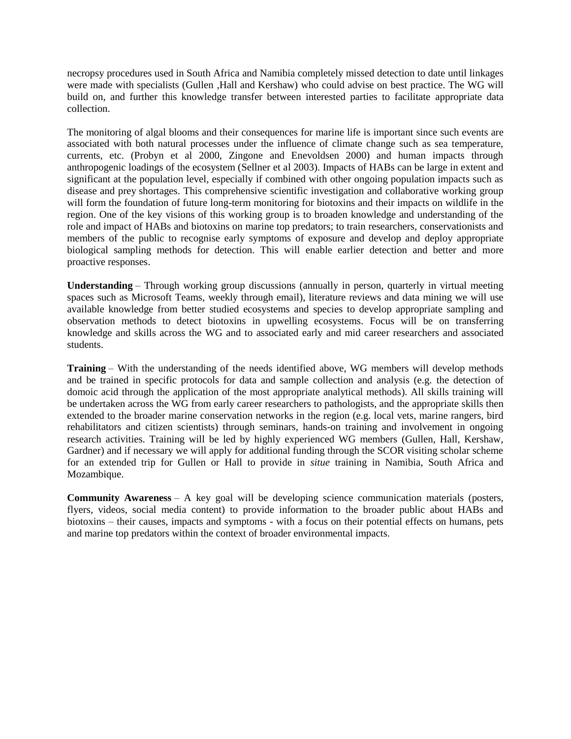necropsy procedures used in South Africa and Namibia completely missed detection to date until linkages were made with specialists (Gullen ,Hall and Kershaw) who could advise on best practice. The WG will build on, and further this knowledge transfer between interested parties to facilitate appropriate data collection.

The monitoring of algal blooms and their consequences for marine life is important since such events are associated with both natural processes under the influence of climate change such as sea temperature, currents, etc. (Probyn et al 2000, Zingone and Enevoldsen 2000) and human impacts through anthropogenic loadings of the ecosystem (Sellner et al 2003). Impacts of HABs can be large in extent and significant at the population level, especially if combined with other ongoing population impacts such as disease and prey shortages. This comprehensive scientific investigation and collaborative working group will form the foundation of future long-term monitoring for biotoxins and their impacts on wildlife in the region. One of the key visions of this working group is to broaden knowledge and understanding of the role and impact of HABs and biotoxins on marine top predators; to train researchers, conservationists and members of the public to recognise early symptoms of exposure and develop and deploy appropriate biological sampling methods for detection. This will enable earlier detection and better and more proactive responses.

**Understanding** – Through working group discussions (annually in person, quarterly in virtual meeting spaces such as Microsoft Teams, weekly through email), literature reviews and data mining we will use available knowledge from better studied ecosystems and species to develop appropriate sampling and observation methods to detect biotoxins in upwelling ecosystems. Focus will be on transferring knowledge and skills across the WG and to associated early and mid career researchers and associated students.

**Training** – With the understanding of the needs identified above, WG members will develop methods and be trained in specific protocols for data and sample collection and analysis (e.g. the detection of domoic acid through the application of the most appropriate analytical methods). All skills training will be undertaken across the WG from early career researchers to pathologists, and the appropriate skills then extended to the broader marine conservation networks in the region (e.g. local vets, marine rangers, bird rehabilitators and citizen scientists) through seminars, hands-on training and involvement in ongoing research activities. Training will be led by highly experienced WG members (Gullen, Hall, Kershaw, Gardner) and if necessary we will apply for additional funding through the SCOR visiting scholar scheme for an extended trip for Gullen or Hall to provide in *situe* training in Namibia, South Africa and Mozambique.

**Community Awareness** – A key goal will be developing science communication materials (posters, flyers, videos, social media content) to provide information to the broader public about HABs and biotoxins – their causes, impacts and symptoms - with a focus on their potential effects on humans, pets and marine top predators within the context of broader environmental impacts.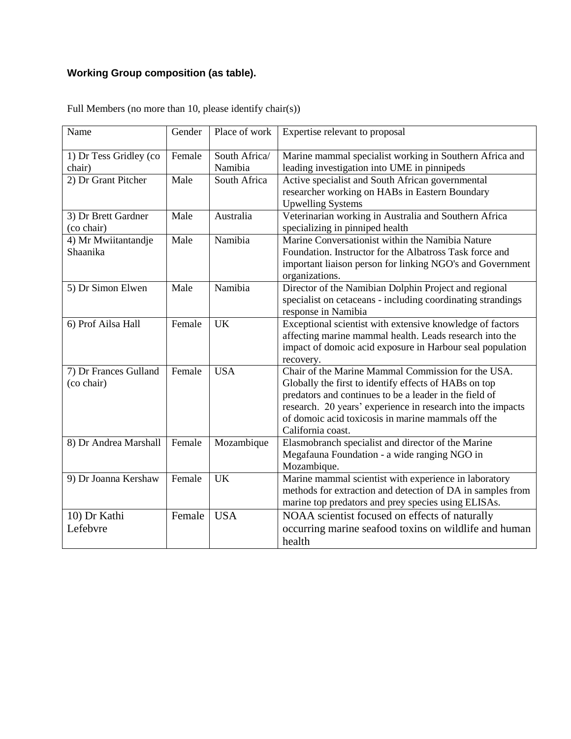# **Working Group composition (as table).**

| Name                                | Gender | Place of work            | Expertise relevant to proposal                                                                                                                                                                                                                                                                                  |
|-------------------------------------|--------|--------------------------|-----------------------------------------------------------------------------------------------------------------------------------------------------------------------------------------------------------------------------------------------------------------------------------------------------------------|
| 1) Dr Tess Gridley (co<br>chair)    | Female | South Africa/<br>Namibia | Marine mammal specialist working in Southern Africa and<br>leading investigation into UME in pinnipeds                                                                                                                                                                                                          |
| 2) Dr Grant Pitcher                 | Male   | South Africa             | Active specialist and South African governmental<br>researcher working on HABs in Eastern Boundary<br><b>Upwelling Systems</b>                                                                                                                                                                                  |
| 3) Dr Brett Gardner<br>(co chair)   | Male   | Australia                | Veterinarian working in Australia and Southern Africa<br>specializing in pinniped health                                                                                                                                                                                                                        |
| 4) Mr Mwiitantandje<br>Shaanika     | Male   | Namibia                  | Marine Conversationist within the Namibia Nature<br>Foundation. Instructor for the Albatross Task force and<br>important liaison person for linking NGO's and Government<br>organizations.                                                                                                                      |
| 5) Dr Simon Elwen                   | Male   | Namibia                  | Director of the Namibian Dolphin Project and regional<br>specialist on cetaceans - including coordinating strandings<br>response in Namibia                                                                                                                                                                     |
| 6) Prof Ailsa Hall                  | Female | <b>UK</b>                | Exceptional scientist with extensive knowledge of factors<br>affecting marine mammal health. Leads research into the<br>impact of domoic acid exposure in Harbour seal population<br>recovery.                                                                                                                  |
| 7) Dr Frances Gulland<br>(co chair) | Female | <b>USA</b>               | Chair of the Marine Mammal Commission for the USA.<br>Globally the first to identify effects of HABs on top<br>predators and continues to be a leader in the field of<br>research. 20 years' experience in research into the impacts<br>of domoic acid toxicosis in marine mammals off the<br>California coast. |
| 8) Dr Andrea Marshall               | Female | Mozambique               | Elasmobranch specialist and director of the Marine<br>Megafauna Foundation - a wide ranging NGO in<br>Mozambique.                                                                                                                                                                                               |
| 9) Dr Joanna Kershaw                | Female | <b>UK</b>                | Marine mammal scientist with experience in laboratory<br>methods for extraction and detection of DA in samples from<br>marine top predators and prey species using ELISAs.                                                                                                                                      |
| 10) Dr Kathi<br>Lefebvre            | Female | <b>USA</b>               | NOAA scientist focused on effects of naturally<br>occurring marine seafood toxins on wildlife and human<br>health                                                                                                                                                                                               |

Full Members (no more than 10, please identify chair(s))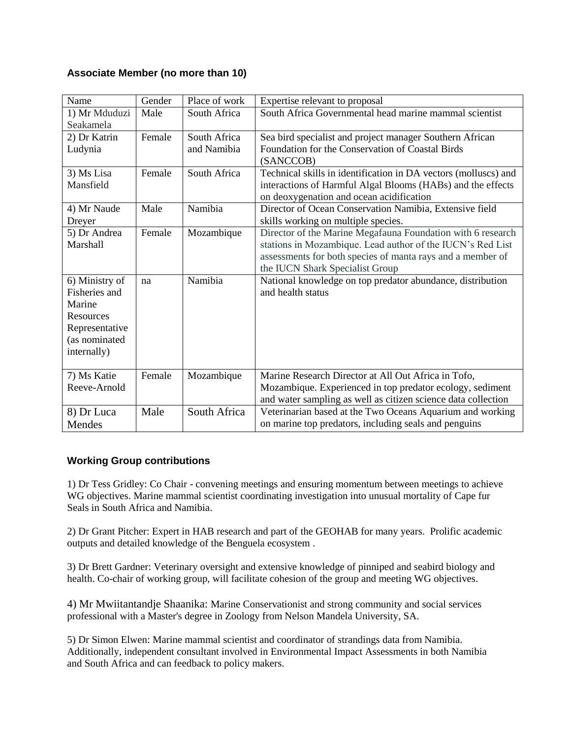# **Associate Member (no more than 10)**

| Name                                                                                                     | Gender | Place of work               | Expertise relevant to proposal                                                                                                                                                                                             |
|----------------------------------------------------------------------------------------------------------|--------|-----------------------------|----------------------------------------------------------------------------------------------------------------------------------------------------------------------------------------------------------------------------|
| 1) Mr Mduduzi<br>Seakamela                                                                               | Male   | South Africa                | South Africa Governmental head marine mammal scientist                                                                                                                                                                     |
| 2) Dr Katrin<br>Ludynia                                                                                  | Female | South Africa<br>and Namibia | Sea bird specialist and project manager Southern African<br>Foundation for the Conservation of Coastal Birds<br>(SANCCOB)                                                                                                  |
| 3) Ms Lisa<br>Mansfield                                                                                  | Female | South Africa                | Technical skills in identification in DA vectors (molluscs) and<br>interactions of Harmful Algal Blooms (HABs) and the effects<br>on deoxygenation and ocean acidification                                                 |
| 4) Mr Naude<br>Dreyer                                                                                    | Male   | Namibia                     | Director of Ocean Conservation Namibia, Extensive field<br>skills working on multiple species.                                                                                                                             |
| 5) Dr Andrea<br>Marshall                                                                                 | Female | Mozambique                  | Director of the Marine Megafauna Foundation with 6 research<br>stations in Mozambique. Lead author of the IUCN's Red List<br>assessments for both species of manta rays and a member of<br>the IUCN Shark Specialist Group |
| 6) Ministry of<br>Fisheries and<br>Marine<br>Resources<br>Representative<br>(as nominated<br>internally) | na     | Namibia                     | National knowledge on top predator abundance, distribution<br>and health status                                                                                                                                            |
| 7) Ms Katie<br>Reeve-Arnold                                                                              | Female | Mozambique                  | Marine Research Director at All Out Africa in Tofo,<br>Mozambique. Experienced in top predator ecology, sediment<br>and water sampling as well as citizen science data collection                                          |
| 8) Dr Luca<br>Mendes                                                                                     | Male   | South Africa                | Veterinarian based at the Two Oceans Aquarium and working<br>on marine top predators, including seals and penguins                                                                                                         |

# **Working Group contributions**

1) Dr Tess Gridley: Co Chair - convening meetings and ensuring momentum between meetings to achieve WG objectives. Marine mammal scientist coordinating investigation into unusual mortality of Cape fur Seals in South Africa and Namibia.

2) Dr Grant Pitcher: Expert in HAB research and part of the GEOHAB for many years. Prolific academic outputs and detailed knowledge of the Benguela ecosystem .

3) Dr Brett Gardner: Veterinary oversight and extensive knowledge of pinniped and seabird biology and health. Co-chair of working group, will facilitate cohesion of the group and meeting WG objectives.

4) Mr Mwiitantandje Shaanika: Marine Conservationist and strong community and social services professional with a Master's degree in Zoology from Nelson Mandela University, SA.

5) Dr Simon Elwen: Marine mammal scientist and coordinator of strandings data from Namibia. Additionally, independent consultant involved in Environmental Impact Assessments in both Namibia and South Africa and can feedback to policy makers.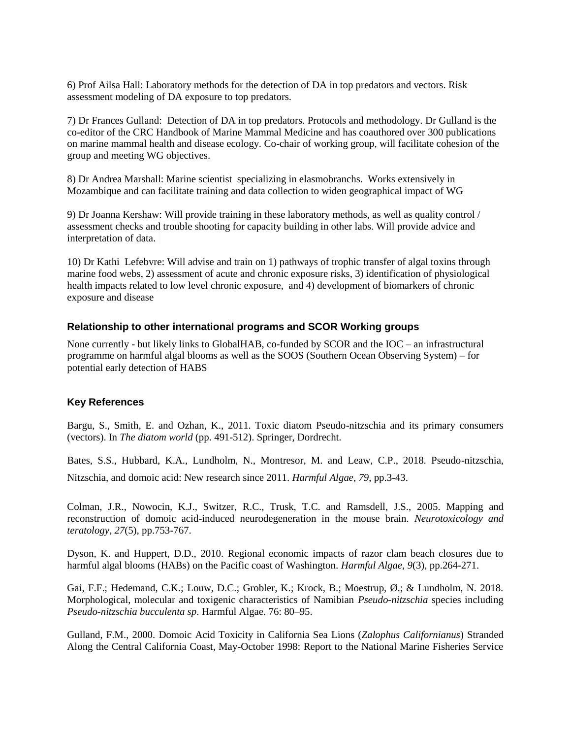6) Prof Ailsa Hall: Laboratory methods for the detection of DA in top predators and vectors. Risk assessment modeling of DA exposure to top predators.

7) Dr Frances Gulland: Detection of DA in top predators. Protocols and methodology. Dr Gulland is the co-editor of the CRC Handbook of Marine Mammal Medicine and has coauthored over 300 publications on marine mammal health and disease ecology. Co-chair of working group, will facilitate cohesion of the group and meeting WG objectives.

8) Dr Andrea Marshall: Marine scientist specializing in elasmobranchs. Works extensively in Mozambique and can facilitate training and data collection to widen geographical impact of WG

9) Dr Joanna Kershaw: Will provide training in these laboratory methods, as well as quality control / assessment checks and trouble shooting for capacity building in other labs. Will provide advice and interpretation of data.

10) Dr Kathi Lefebvre: Will advise and train on 1) pathways of trophic transfer of algal toxins through marine food webs, 2) assessment of acute and chronic exposure risks, 3) identification of physiological health impacts related to low level chronic exposure, and 4) development of biomarkers of chronic exposure and disease

### **Relationship to other international programs and SCOR Working groups**

None currently - but likely links to GlobalHAB, co-funded by SCOR and the IOC – an infrastructural programme on harmful algal blooms as well as the SOOS (Southern Ocean Observing System) – for potential early detection of HABS

### **Key References**

Bargu, S., Smith, E. and Ozhan, K., 2011. Toxic diatom Pseudo-nitzschia and its primary consumers (vectors). In *The diatom world* (pp. 491-512). Springer, Dordrecht.

Bates, S.S., Hubbard, K.A., Lundholm, N., Montresor, M. and Leaw, C.P., 2018. Pseudo-nitzschia, Nitzschia, and domoic acid: New research since 2011. *Harmful Algae*, *79*, pp.3-43.

Colman, J.R., Nowocin, K.J., Switzer, R.C., Trusk, T.C. and Ramsdell, J.S., 2005. Mapping and reconstruction of domoic acid-induced neurodegeneration in the mouse brain. *Neurotoxicology and teratology*, *27*(5), pp.753-767.

Dyson, K. and Huppert, D.D., 2010. Regional economic impacts of razor clam beach closures due to harmful algal blooms (HABs) on the Pacific coast of Washington. *Harmful Algae*, *9*(3), pp.264-271.

Gai, F.F.; Hedemand, C.K.; Louw, D.C.; Grobler, K.; Krock, B.; Moestrup, Ø.; & Lundholm, N. 2018. Morphological, molecular and toxigenic characteristics of Namibian *Pseudo-nitzschia* species including *Pseudo-nitzschia bucculenta sp*. Harmful Algae. 76: 80–95.

Gulland, F.M., 2000. Domoic Acid Toxicity in California Sea Lions (*Zalophus Californianus*) Stranded Along the Central California Coast, May-October 1998: Report to the National Marine Fisheries Service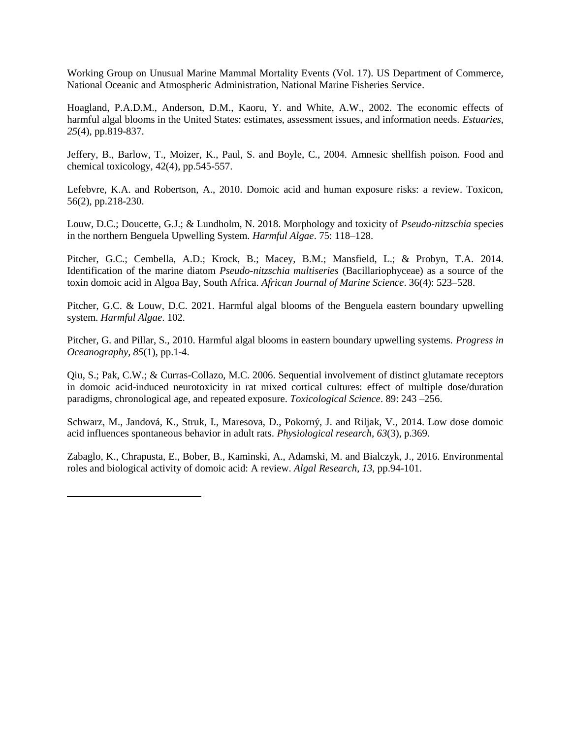Working Group on Unusual Marine Mammal Mortality Events (Vol. 17). US Department of Commerce, National Oceanic and Atmospheric Administration, National Marine Fisheries Service.

Hoagland, P.A.D.M., Anderson, D.M., Kaoru, Y. and White, A.W., 2002. The economic effects of harmful algal blooms in the United States: estimates, assessment issues, and information needs. *Estuaries*, *25*(4), pp.819-837.

Jeffery, B., Barlow, T., Moizer, K., Paul, S. and Boyle, C., 2004. Amnesic shellfish poison. Food and chemical toxicology, 42(4), pp.545-557.

Lefebvre, K.A. and Robertson, A., 2010. Domoic acid and human exposure risks: a review. Toxicon, 56(2), pp.218-230.

Louw, D.C.; Doucette, G.J.; & Lundholm, N. 2018. Morphology and toxicity of *Pseudo-nitzschia* species in the northern Benguela Upwelling System. *Harmful Algae*. 75: 118–128.

Pitcher, G.C.; Cembella, A.D.; Krock, B.; Macey, B.M.; Mansfield, L.; & Probyn, T.A. 2014. Identification of the marine diatom *Pseudo-nitzschia multiseries* (Bacillariophyceae) as a source of the toxin domoic acid in Algoa Bay, South Africa. *African Journal of Marine Science*. 36(4): 523–528.

Pitcher, G.C. & Louw, D.C. 2021. Harmful algal blooms of the Benguela eastern boundary upwelling system. *Harmful Algae*. 102.

Pitcher, G. and Pillar, S., 2010. Harmful algal blooms in eastern boundary upwelling systems. *Progress in Oceanography*, *85*(1), pp.1-4.

Qiu, S.; Pak, C.W.; & Curras-Collazo, M.C. 2006. Sequential involvement of distinct glutamate receptors in domoic acid-induced neurotoxicity in rat mixed cortical cultures: effect of multiple dose/duration paradigms, chronological age, and repeated exposure. *Toxicological Science*. 89: 243 –256.

Schwarz, M., Jandová, K., Struk, I., Maresova, D., Pokorný, J. and Riljak, V., 2014. Low dose domoic acid influences spontaneous behavior in adult rats. *Physiological research*, *63*(3), p.369.

Zabaglo, K., Chrapusta, E., Bober, B., Kaminski, A., Adamski, M. and Bialczyk, J., 2016. Environmental roles and biological activity of domoic acid: A review. *Algal Research*, *13*, pp.94-101.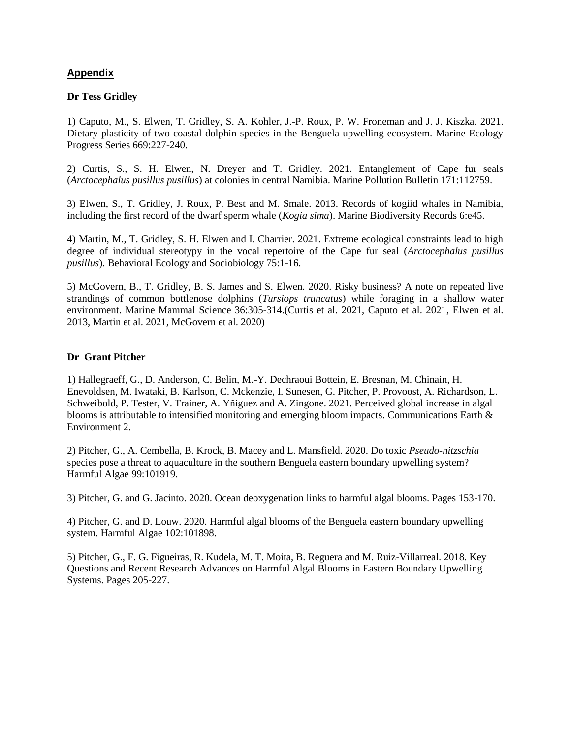# **Appendix**

#### **Dr Tess Gridley**

1) Caputo, M., S. Elwen, T. Gridley, S. A. Kohler, J.-P. Roux, P. W. Froneman and J. J. Kiszka. 2021. Dietary plasticity of two coastal dolphin species in the Benguela upwelling ecosystem. Marine Ecology Progress Series 669:227-240.

2) Curtis, S., S. H. Elwen, N. Dreyer and T. Gridley. 2021. Entanglement of Cape fur seals (*Arctocephalus pusillus pusillus*) at colonies in central Namibia. Marine Pollution Bulletin 171:112759.

3) Elwen, S., T. Gridley, J. Roux, P. Best and M. Smale. 2013. Records of kogiid whales in Namibia, including the first record of the dwarf sperm whale (*Kogia sima*). Marine Biodiversity Records 6:e45.

4) Martin, M., T. Gridley, S. H. Elwen and I. Charrier. 2021. Extreme ecological constraints lead to high degree of individual stereotypy in the vocal repertoire of the Cape fur seal (*Arctocephalus pusillus pusillus*). Behavioral Ecology and Sociobiology 75:1-16.

5) McGovern, B., T. Gridley, B. S. James and S. Elwen. 2020. Risky business? A note on repeated live strandings of common bottlenose dolphins (*Tursiops truncatus*) while foraging in a shallow water environment. Marine Mammal Science 36:305-314.(Curtis et al. 2021, Caputo et al. 2021, Elwen et al. 2013, Martin et al. 2021, McGovern et al. 2020)

### **Dr Grant Pitcher**

1) Hallegraeff, G., D. Anderson, C. Belin, M.-Y. Dechraoui Bottein, E. Bresnan, M. Chinain, H. Enevoldsen, M. Iwataki, B. Karlson, C. Mckenzie, I. Sunesen, G. Pitcher, P. Provoost, A. Richardson, L. Schweibold, P. Tester, V. Trainer, A. Yñiguez and A. Zingone. 2021. Perceived global increase in algal blooms is attributable to intensified monitoring and emerging bloom impacts. Communications Earth & Environment 2.

2) Pitcher, G., A. Cembella, B. Krock, B. Macey and L. Mansfield. 2020. Do toxic *Pseudo-nitzschia* species pose a threat to aquaculture in the southern Benguela eastern boundary upwelling system? Harmful Algae 99:101919.

3) Pitcher, G. and G. Jacinto. 2020. Ocean deoxygenation links to harmful algal blooms. Pages 153-170.

4) Pitcher, G. and D. Louw. 2020. Harmful algal blooms of the Benguela eastern boundary upwelling system. Harmful Algae 102:101898.

5) Pitcher, G., F. G. Figueiras, R. Kudela, M. T. Moita, B. Reguera and M. Ruiz-Villarreal. 2018. Key Questions and Recent Research Advances on Harmful Algal Blooms in Eastern Boundary Upwelling Systems. Pages 205-227.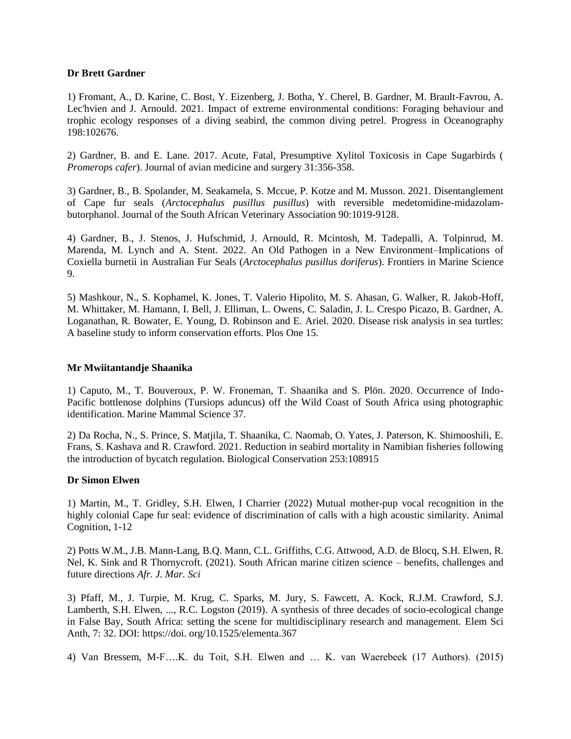#### **Dr Brett Gardner**

1) Fromant, A., D. Karine, C. Bost, Y. Eizenberg, J. Botha, Y. Cherel, B. Gardner, M. Brault-Favrou, A. Lec'hvien and J. Arnould. 2021. Impact of extreme environmental conditions: Foraging behaviour and trophic ecology responses of a diving seabird, the common diving petrel. Progress in Oceanography 198:102676.

2) Gardner, B. and E. Lane. 2017. Acute, Fatal, Presumptive Xylitol Toxicosis in Cape Sugarbirds ( *Promerops cafer*). Journal of avian medicine and surgery 31:356-358.

3) Gardner, B., B. Spolander, M. Seakamela, S. Mccue, P. Kotze and M. Musson. 2021. Disentanglement of Cape fur seals (*Arctocephalus pusillus pusillus*) with reversible medetomidine-midazolambutorphanol. Journal of the South African Veterinary Association 90:1019-9128.

4) Gardner, B., J. Stenos, J. Hufschmid, J. Arnould, R. Mcintosh, M. Tadepalli, A. Tolpinrud, M. Marenda, M. Lynch and A. Stent. 2022. An Old Pathogen in a New Environment–Implications of Coxiella burnetii in Australian Fur Seals (*Arctocephalus pusillus doriferus*). Frontiers in Marine Science 9.

5) Mashkour, N., S. Kophamel, K. Jones, T. Valerio Hipolito, M. S. Ahasan, G. Walker, R. Jakob-Hoff, M. Whittaker, M. Hamann, I. Bell, J. Elliman, L. Owens, C. Saladin, J. L. Crespo Picazo, B. Gardner, A. Loganathan, R. Bowater, E. Young, D. Robinson and E. Ariel. 2020. Disease risk analysis in sea turtles: A baseline study to inform conservation efforts. Plos One 15.

#### **Mr Mwiitantandje Shaanika**

1) Caputo, M., T. Bouveroux, P. W. Froneman, T. Shaanika and S. Plön. 2020. Occurrence of Indo-Pacific bottlenose dolphins (Tursiops aduncus) off the Wild Coast of South Africa using photographic identification. Marine Mammal Science 37.

2) Da Rocha, N., S. Prince, S. Matjila, T. Shaanika, C. Naomab, O. Yates, J. Paterson, K. Shimooshili, E. Frans, S. Kashava and R. Crawford. 2021. Reduction in seabird mortality in Namibian fisheries following the introduction of bycatch regulation. Biological Conservation 253:108915

### **Dr Simon Elwen**

1) Martin, M., T. Gridley, S.H. Elwen, I Charrier (2022) Mutual mother-pup vocal recognition in the highly colonial Cape fur seal: evidence of discrimination of calls with a high acoustic similarity. Animal Cognition, 1-12

2) Potts W.M., J.B. Mann-Lang, B.Q. Mann, C.L. Griffiths, C.G. Attwood, A.D. de Blocq, S.H. Elwen, R. Nel, K. Sink and R Thornycroft. (2021). South African marine citizen science – benefits, challenges and future directions *Afr. J. Mar. Sci*

3) Pfaff, M., J. Turpie, M. Krug, C. Sparks, M. Jury, S. Fawcett, A. Kock, R.J.M. Crawford, S.J. Lamberth, S.H. Elwen, ..., R.C. Logston (2019). A synthesis of three decades of socio-ecological change in False Bay, South Africa: setting the scene for multidisciplinary research and management. Elem Sci Anth, 7: 32. DOI: https://doi. org/10.1525/elementa.367

4) Van Bressem, M-F….K. du Toit, S.H. Elwen and … K. van Waerebeek (17 Authors). (2015)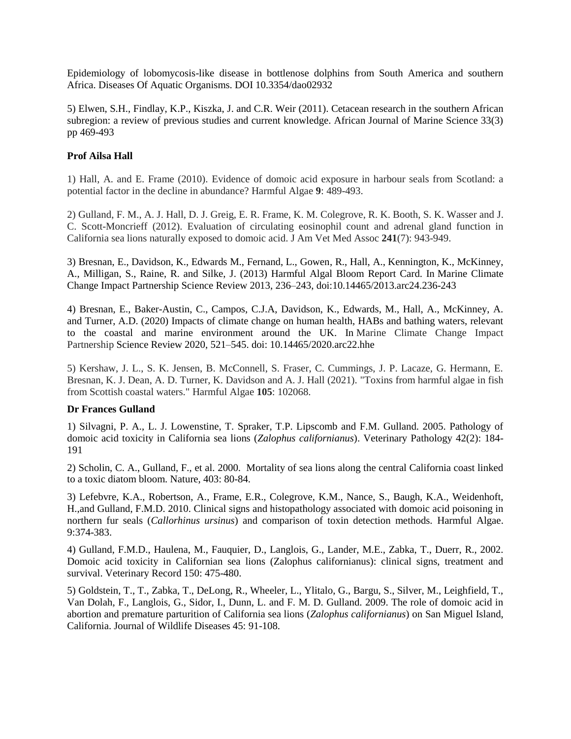Epidemiology of lobomycosis-like disease in bottlenose dolphins from South America and southern Africa. Diseases Of Aquatic Organisms. DOI 10.3354/dao02932

5) Elwen, S.H., Findlay, K.P., Kiszka, J. and C.R. Weir (2011). Cetacean research in the southern African subregion: a review of previous studies and current knowledge. African Journal of Marine Science 33(3) pp 469-493

# **Prof Ailsa Hall**

1) Hall, A. and E. Frame (2010). Evidence of domoic acid exposure in harbour seals from Scotland: a potential factor in the decline in abundance? Harmful Algae **9**: 489-493.

2) Gulland, F. M., A. J. Hall, D. J. Greig, E. R. Frame, K. M. Colegrove, R. K. Booth, S. K. Wasser and J. C. Scott-Moncrieff (2012). Evaluation of circulating eosinophil count and adrenal gland function in California sea lions naturally exposed to domoic acid. J Am Vet Med Assoc **241**(7): 943-949.

3) Bresnan, E., Davidson, K., Edwards M., Fernand, L., Gowen, R., Hall, A., Kennington, K., McKinney, A., Milligan, S., Raine, R. and Silke, J. (2013) Harmful Algal Bloom Report Card. In Marine Climate Change Impact Partnership Science Review 2013, 236–243, doi:10.14465/2013.arc24.236-243

4) Bresnan, E., Baker-Austin, C., Campos, C.J.A, Davidson, K., Edwards, M., Hall, A., McKinney, A. and Turner, A.D. (2020) Impacts of climate change on human health, HABs and bathing waters, relevant to the coastal and marine environment around the UK. In Marine Climate Change Impact Partnership Science Review 2020, 521–545. doi: 10.14465/2020.arc22.hhe

5) Kershaw, J. L., S. K. Jensen, B. McConnell, S. Fraser, C. Cummings, J. P. Lacaze, G. Hermann, E. Bresnan, K. J. Dean, A. D. Turner, K. Davidson and A. J. Hall (2021). "Toxins from harmful algae in fish from Scottish coastal waters." Harmful Algae **105**: 102068.

### **Dr Frances Gulland**

1) Silvagni, P. A., L. J. Lowenstine, T. Spraker, T.P. Lipscomb and F.M. Gulland. 2005. Pathology of domoic acid toxicity in California sea lions (*Zalophus californianus*). Veterinary Pathology 42(2): 184- 191

2) Scholin, C. A., Gulland, F., et al. 2000. Mortality of sea lions along the central California coast linked to a toxic diatom bloom. Nature, 403: 80-84.

3) Lefebvre, K.A., Robertson, A., Frame, E.R., Colegrove, K.M., Nance, S., Baugh, K.A., Weidenhoft, H.,and Gulland, F.M.D. 2010. Clinical signs and histopathology associated with domoic acid poisoning in northern fur seals (*Callorhinus ursinus*) and comparison of toxin detection methods. Harmful Algae. 9:374-383.

4) Gulland, F.M.D., Haulena, M., Fauquier, D., Langlois, G., Lander, M.E., Zabka, T., Duerr, R., 2002. Domoic acid toxicity in Californian sea lions (Zalophus californianus): clinical signs, treatment and survival. Veterinary Record 150: 475-480.

5) Goldstein, T., T., Zabka, T., DeLong, R., Wheeler, L., Ylitalo, G., Bargu, S., Silver, M., Leighfield, T., Van Dolah, F., Langlois, G., Sidor, I., Dunn, L. and F. M. D. Gulland. 2009. The role of domoic acid in abortion and premature parturition of California sea lions (*Zalophus californianus*) on San Miguel Island, California. Journal of Wildlife Diseases 45: 91-108.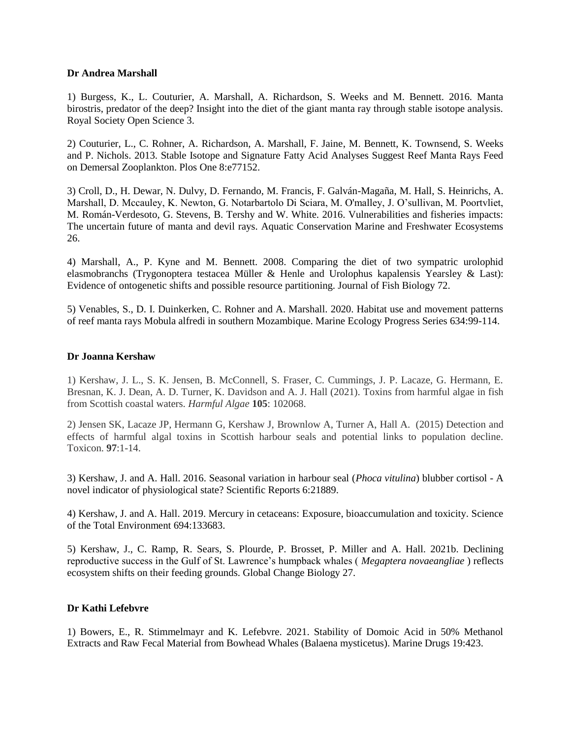#### **Dr Andrea Marshall**

1) Burgess, K., L. Couturier, A. Marshall, A. Richardson, S. Weeks and M. Bennett. 2016. Manta birostris, predator of the deep? Insight into the diet of the giant manta ray through stable isotope analysis. Royal Society Open Science 3.

2) Couturier, L., C. Rohner, A. Richardson, A. Marshall, F. Jaine, M. Bennett, K. Townsend, S. Weeks and P. Nichols. 2013. Stable Isotope and Signature Fatty Acid Analyses Suggest Reef Manta Rays Feed on Demersal Zooplankton. Plos One 8:e77152.

3) Croll, D., H. Dewar, N. Dulvy, D. Fernando, M. Francis, F. Galván-Magaña, M. Hall, S. Heinrichs, A. Marshall, D. Mccauley, K. Newton, G. Notarbartolo Di Sciara, M. O'malley, J. O'sullivan, M. Poortvliet, M. Román-Verdesoto, G. Stevens, B. Tershy and W. White. 2016. Vulnerabilities and fisheries impacts: The uncertain future of manta and devil rays. Aquatic Conservation Marine and Freshwater Ecosystems 26.

4) Marshall, A., P. Kyne and M. Bennett. 2008. Comparing the diet of two sympatric urolophid elasmobranchs (Trygonoptera testacea Müller & Henle and Urolophus kapalensis Yearsley & Last): Evidence of ontogenetic shifts and possible resource partitioning. Journal of Fish Biology 72.

5) Venables, S., D. I. Duinkerken, C. Rohner and A. Marshall. 2020. Habitat use and movement patterns of reef manta rays Mobula alfredi in southern Mozambique. Marine Ecology Progress Series 634:99-114.

#### **Dr Joanna Kershaw**

1) Kershaw, J. L., S. K. Jensen, B. McConnell, S. Fraser, C. Cummings, J. P. Lacaze, G. Hermann, E. Bresnan, K. J. Dean, A. D. Turner, K. Davidson and A. J. Hall (2021). Toxins from harmful algae in fish from Scottish coastal waters. *Harmful Algae* **105**: 102068.

2) Jensen SK, Lacaze JP, Hermann G, Kershaw J, Brownlow A, Turner A, Hall A. (2015) Detection and effects of harmful algal toxins in Scottish harbour seals and potential links to population decline. Toxicon. **97**:1-14.

3) Kershaw, J. and A. Hall. 2016. Seasonal variation in harbour seal (*Phoca vitulina*) blubber cortisol - A novel indicator of physiological state? Scientific Reports 6:21889.

4) Kershaw, J. and A. Hall. 2019. Mercury in cetaceans: Exposure, bioaccumulation and toxicity. Science of the Total Environment 694:133683.

5) Kershaw, J., C. Ramp, R. Sears, S. Plourde, P. Brosset, P. Miller and A. Hall. 2021b. Declining reproductive success in the Gulf of St. Lawrence's humpback whales ( *Megaptera novaeangliae* ) reflects ecosystem shifts on their feeding grounds. Global Change Biology 27.

### **Dr Kathi Lefebvre**

1) Bowers, E., R. Stimmelmayr and K. Lefebvre. 2021. Stability of Domoic Acid in 50% Methanol Extracts and Raw Fecal Material from Bowhead Whales (Balaena mysticetus). Marine Drugs 19:423.